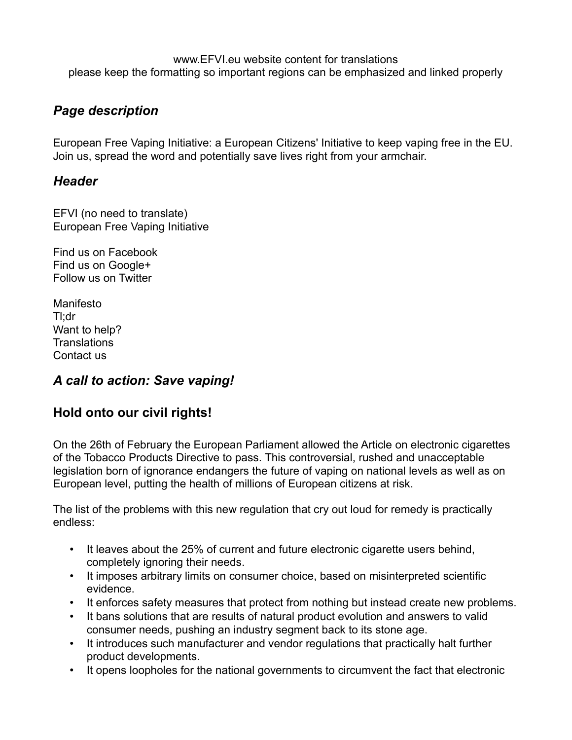www.EFVI.eu website content for translations please keep the formatting so important regions can be emphasized and linked properly

# *Page description*

European Free Vaping Initiative: a European Citizens' Initiative to keep vaping free in the EU. Join us, spread the word and potentially save lives right from your armchair.

#### *Header*

EFVI (no need to translate) European Free Vaping Initiative

Find us on Facebook Find us on Google+ Follow us on Twitter

Manifesto Tl;dr Want to help? **Translations** Contact us

## *A call to action: Save vaping!*

## **Hold onto our civil rights!**

On the 26th of February the European Parliament allowed the Article on electronic cigarettes of the Tobacco Products Directive to pass. This controversial, rushed and unacceptable legislation born of ignorance endangers the future of vaping on national levels as well as on European level, putting the health of millions of European citizens at risk.

The list of the problems with this new regulation that cry out loud for remedy is practically endless:

- It leaves about the 25% of current and future electronic cigarette users behind, completely ignoring their needs.
- It imposes arbitrary limits on consumer choice, based on misinterpreted scientific evidence.
- It enforces safety measures that protect from nothing but instead create new problems.
- It bans solutions that are results of natural product evolution and answers to valid consumer needs, pushing an industry segment back to its stone age.
- It introduces such manufacturer and vendor regulations that practically halt further product developments.
- It opens loopholes for the national governments to circumvent the fact that electronic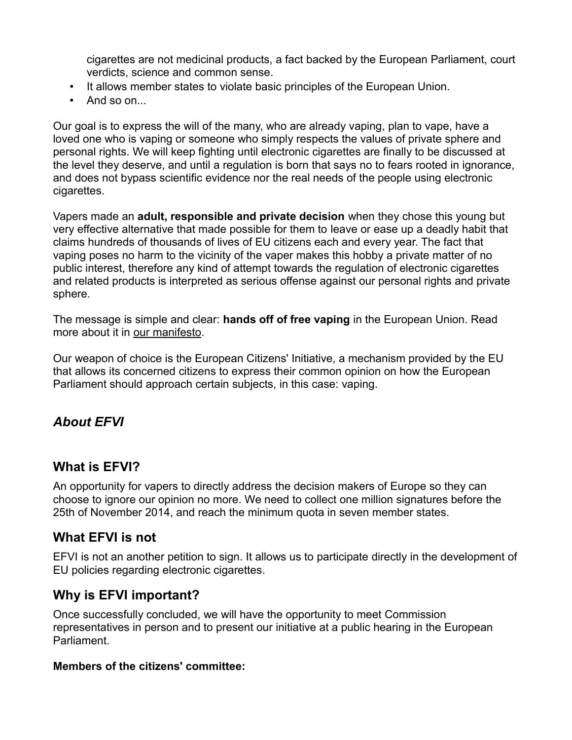cigarettes are not medicinal products, a fact backed by the European Parliament, court verdicts, science and common sense.

- It allows member states to violate basic principles of the European Union.
- And so on...

Our goal is to express the will of the many, who are already vaping, plan to vape, have a loved one who is vaping or someone who simply respects the values of private sphere and personal rights. We will keep fighting until electronic cigarettes are finally to be discussed at the level they deserve, and until a regulation is born that says no to fears rooted in ignorance, and does not bypass scientific evidence nor the real needs of the people using electronic cigarettes.

Vapers made an **adult, responsible and private decision** when they chose this young but very effective alternative that made possible for them to leave or ease up a deadly habit that claims hundreds of thousands of lives of EU citizens each and every year. The fact that vaping poses no harm to the vicinity of the vaper makes this hobby a private matter of no public interest, therefore any kind of attempt towards the regulation of electronic cigarettes and related products is interpreted as serious offense against our personal rights and private sphere.

The message is simple and clear: **hands off of free vaping** in the European Union. Read more about it in our manifesto.

Our weapon of choice is the European Citizens' Initiative, a mechanism provided by the EU that allows its concerned citizens to express their common opinion on how the European Parliament should approach certain subjects, in this case: vaping.

## *About EFVI*

## **What is EFVI?**

An opportunity for vapers to directly address the decision makers of Europe so they can choose to ignore our opinion no more. We need to collect one million signatures before the 25th of November 2014, and reach the minimum quota in seven member states.

#### **What EFVI is not**

EFVI is not an another petition to sign. It allows us to participate directly in the development of EU policies regarding electronic cigarettes.

## **Why is EFVI important?**

Once successfully concluded, we will have the opportunity to meet Commission representatives in person and to present our initiative at a public hearing in the European **Parliament** 

#### **Members of the citizens' committee:**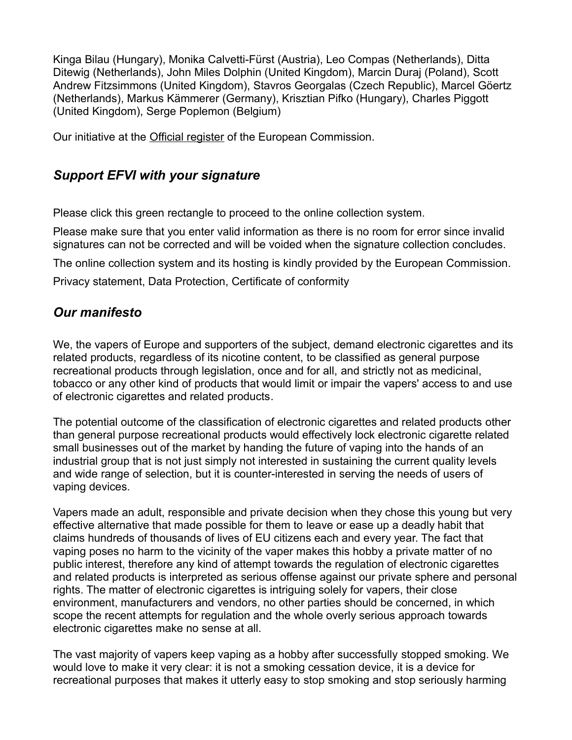Kinga Bilau (Hungary), Monika Calvetti-Fürst (Austria), Leo Compas (Netherlands), Ditta Ditewig (Netherlands), John Miles Dolphin (United Kingdom), Marcin Duraj (Poland), Scott Andrew Fitzsimmons (United Kingdom), Stavros Georgalas (Czech Republic), Marcel Göertz (Netherlands), Markus Kämmerer (Germany), Krisztian Pifko (Hungary), Charles Piggott (United Kingdom), Serge Poplemon (Belgium)

Our initiative at the Official register of the European Commission.

## *Support EFVI with your signature*

Please click this green rectangle to proceed to the online collection system.

Please make sure that you enter valid information as there is no room for error since invalid signatures can not be corrected and will be voided when the signature collection concludes.

The online collection system and its hosting is kindly provided by the European Commission.

Privacy statement, Data Protection, Certificate of conformity

# *Our manifesto*

We, the vapers of Europe and supporters of the subject, demand electronic cigarettes and its related products, regardless of its nicotine content, to be classified as general purpose recreational products through legislation, once and for all, and strictly not as medicinal, tobacco or any other kind of products that would limit or impair the vapers' access to and use of electronic cigarettes and related products.

The potential outcome of the classification of electronic cigarettes and related products other than general purpose recreational products would effectively lock electronic cigarette related small businesses out of the market by handing the future of vaping into the hands of an industrial group that is not just simply not interested in sustaining the current quality levels and wide range of selection, but it is counter-interested in serving the needs of users of vaping devices.

Vapers made an adult, responsible and private decision when they chose this young but very effective alternative that made possible for them to leave or ease up a deadly habit that claims hundreds of thousands of lives of EU citizens each and every year. The fact that vaping poses no harm to the vicinity of the vaper makes this hobby a private matter of no public interest, therefore any kind of attempt towards the regulation of electronic cigarettes and related products is interpreted as serious offense against our private sphere and personal rights. The matter of electronic cigarettes is intriguing solely for vapers, their close environment, manufacturers and vendors, no other parties should be concerned, in which scope the recent attempts for regulation and the whole overly serious approach towards electronic cigarettes make no sense at all.

The vast majority of vapers keep vaping as a hobby after successfully stopped smoking. We would love to make it very clear: it is not a smoking cessation device, it is a device for recreational purposes that makes it utterly easy to stop smoking and stop seriously harming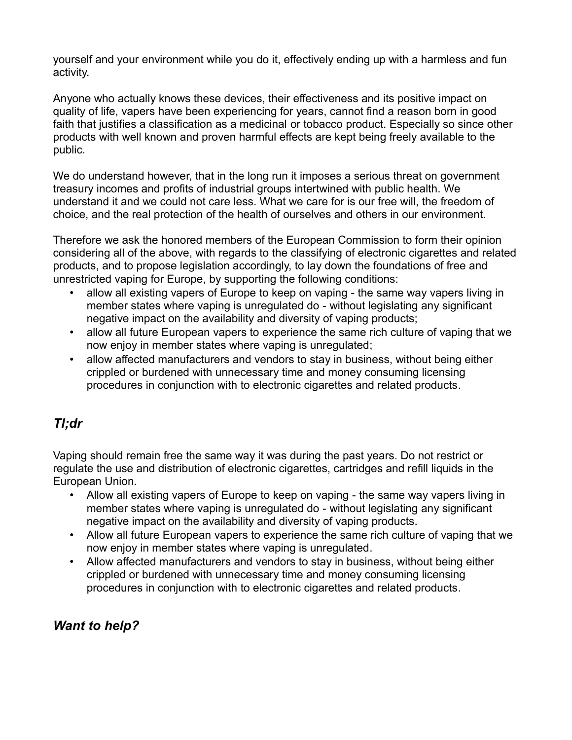yourself and your environment while you do it, effectively ending up with a harmless and fun activity.

Anyone who actually knows these devices, their effectiveness and its positive impact on quality of life, vapers have been experiencing for years, cannot find a reason born in good faith that justifies a classification as a medicinal or tobacco product. Especially so since other products with well known and proven harmful effects are kept being freely available to the public.

We do understand however, that in the long run it imposes a serious threat on government treasury incomes and profits of industrial groups intertwined with public health. We understand it and we could not care less. What we care for is our free will, the freedom of choice, and the real protection of the health of ourselves and others in our environment.

Therefore we ask the honored members of the European Commission to form their opinion considering all of the above, with regards to the classifying of electronic cigarettes and related products, and to propose legislation accordingly, to lay down the foundations of free and unrestricted vaping for Europe, by supporting the following conditions:

- allow all existing vapers of Europe to keep on vaping the same way vapers living in member states where vaping is unregulated do - without legislating any significant negative impact on the availability and diversity of vaping products;
- allow all future European vapers to experience the same rich culture of vaping that we now enjoy in member states where vaping is unregulated;
- allow affected manufacturers and vendors to stay in business, without being either crippled or burdened with unnecessary time and money consuming licensing procedures in conjunction with to electronic cigarettes and related products.

# *Tl;dr*

Vaping should remain free the same way it was during the past years. Do not restrict or regulate the use and distribution of electronic cigarettes, cartridges and refill liquids in the European Union.

- Allow all existing vapers of Europe to keep on vaping the same way vapers living in member states where vaping is unregulated do - without legislating any significant negative impact on the availability and diversity of vaping products.
- Allow all future European vapers to experience the same rich culture of vaping that we now enjoy in member states where vaping is unregulated.
- Allow affected manufacturers and vendors to stay in business, without being either crippled or burdened with unnecessary time and money consuming licensing procedures in conjunction with to electronic cigarettes and related products.

# *Want to help?*